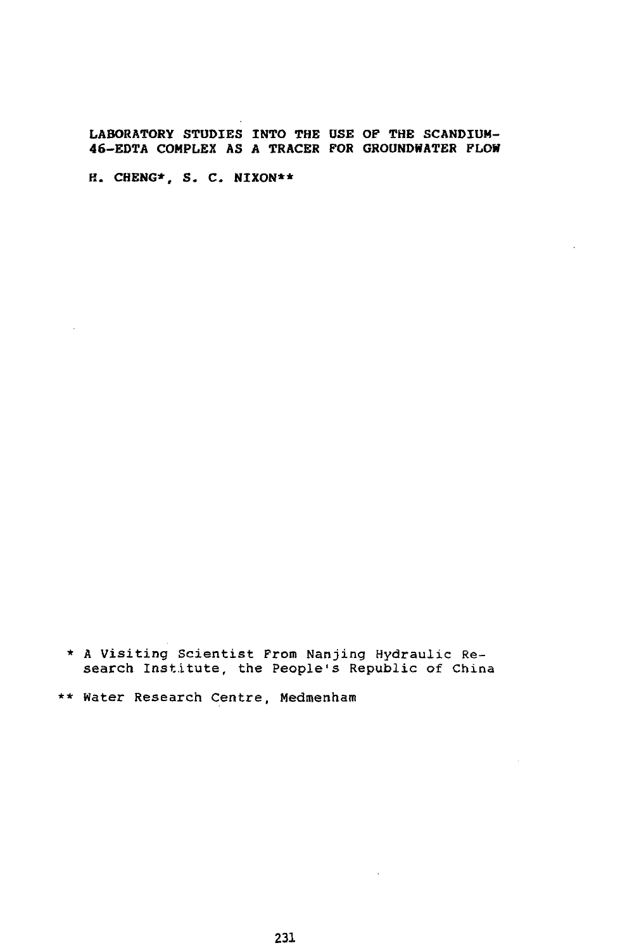**LABORATORY STUDIES INTO THE USE OF THE SCANDIUM-46-EDTA COMPLEX AS A TRACER FOR GROUNOHATER FLOW**

**H. CHENG\*, S. C. NIXON\*\***

\* A Visiting Scientist Prom Nanjing Hydraulic Research Institute, the People's Republic of China

\*\* Water Research Centre, Medmenham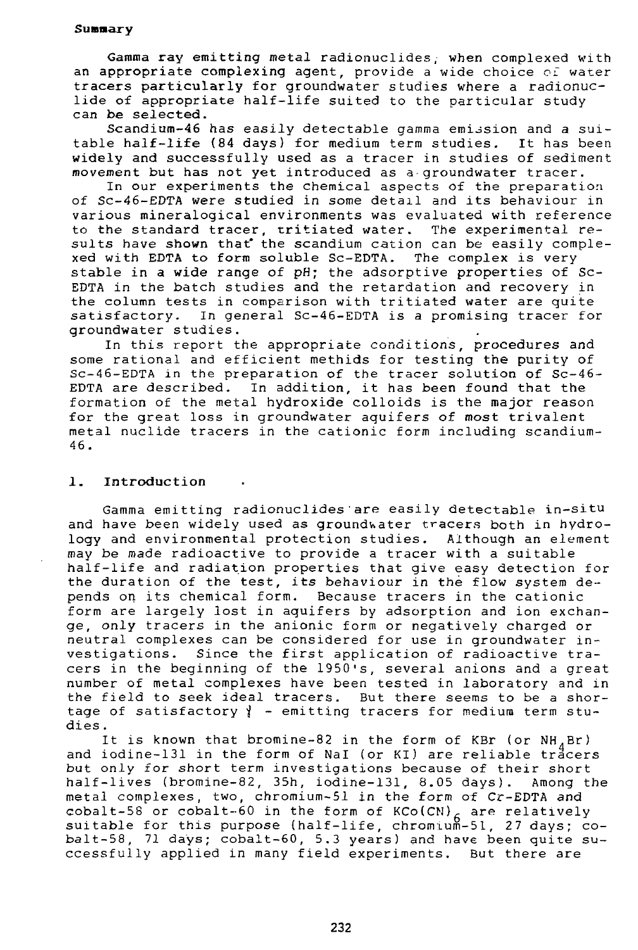## **Summary**

Gamma ray emitting metal radionuclides, when complexed with an appropriate complexing agent, provide a wide choice of water tracers particularly for groundwater studies where a radionuclide of appropriate half-life suited to the particular study can be selected.

Scandium-46 has easily detectable gamma emission and a suitable half-life (84 days) for medium term studies. It has been widely and successfully used as a tracer in studies of sediment movement but has not yet introduced as a-groundwater tracer.

In our experiments the chemical aspects of the preparation of Sc-46-EDTA were studied in some detail and its behaviour in various mineralogical environments was evaluated with reference to the standard tracer, tritiated water. The experimental results have shown that the scandium cation can be easily complexed with EDTA to form soluble Sc-EDTA. The complex is very stable in a wide range of pH; the adsorptive properties of Sc-EDTA in the batch studies and the retardation and recovery in the column tests in comparison with tritiated water are quite satisfactory. In general Sc-46-EDTA is a promising tracer for groundwater studies.

In this report the appropriate conditions, procedures and some rational and efficient methids for testing the purity of Sc-46-EDTA in the preparation of the tracer solution of Sc-46- EDTA are described. In addition, it has been found that the formation of the metal hydroxide colloids is the major reason for the great loss in groundwater aquifers of most trivalent metal nuclide tracers in the cationic form including scandium-46.

## 1. **Introduction**

Gamma emitting radionuclides are easily detectable in-situ and have been widely used as groundwater tracers both in hydrology and environmental protection studies. Although an element may be made radioactive to provide a tracer with a suitable half-life and radiation properties that give easy detection for the duration of the test, its behaviour in the flow system depends on its chemical form. Because tracers in the cationic form are largely lost in aquifers by adsorption and ion exchange, only tracers in the anionic form or negatively charged or neutral complexes can be considered for use in groundwater investigations. Since the first application of radioactive tracers in the beginning of the 1950's, several anions and a great number of metal complexes have been tested in laboratory and in the field to seek ideal tracers. But there seems to be a shortage of satisfactory  $\}$  - emitting tracers for medium term studies .

It is known that bromine-82 in the form of KBr (or  $NH_{4}Br$ ) and iodine-131 in the form of NaI (or KI) are reliable tracers but only for short term investigations because of their short half-lives (bromine-82, 35h, iodine-131, 8.05 days). Among the metal complexes, two, chromium-51 in the form of Cr-EDTA and cobalt-58 or cobalt-60 in the form of KCo(CN)<sub>6</sub> are relatively suitable for this purpose (half-life, chromium-51, 27 days; cobalt-58, 71 days; cobalt-60, 5.3 years) and have been quite successfully applied in many field experiments. But there are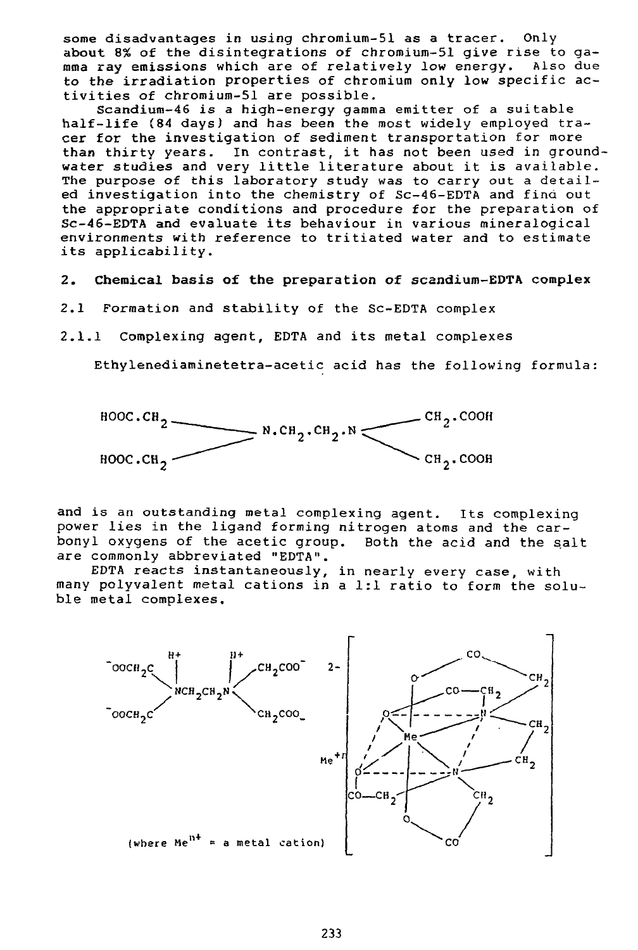some disadvantages in using chromium-51 as a tracer. Only about 8% of the disintegrations of chromium-51 give rise to gamma ray emissions which are of relatively low energy. Also due to the irradiation properties of chromium only low specific activities of chromium-51 are possible.

Scandium-46 is a high-energy gamma emitter of a suitable half-life (84 days) and has been the most widely employed tracer for the investigation of sediment transportation for more **than** thirty years. In contrast, it has not been used in groundwater studies and very little literature about it is available. The purpose of this laboratory study was to carry out a detailed investigation into the chemistry of Sc-46-EDTA and find out the appropriate conditions and procedure for the preparation of Sc-46-EDTA and evaluate its behaviour in various mineralogical environments with reference to tritiated water and to estimate its applicability.

- 2. **Chemical basis of the preparation of scandium-EDTA complex**
- 2.1 Formation and stability of the Sc-EDTA complex
- 2.1.1 Complexing agent, EDTA and its metal complexes

Ethylenediaminetetra-acetic acid has the following formula:



and is an outstanding metal complexing agent. Its complexing power lies in the ligand forming nitrogen atoms and the carbonyl oxygens of the acetic group. Both the acid and the salt are commonly abbreviated "EDTA".

EDTA reacts instantaneously, in nearly every case, with many polyvalent metal cations in a 1:1 ratio to form the soluble metal complexes.

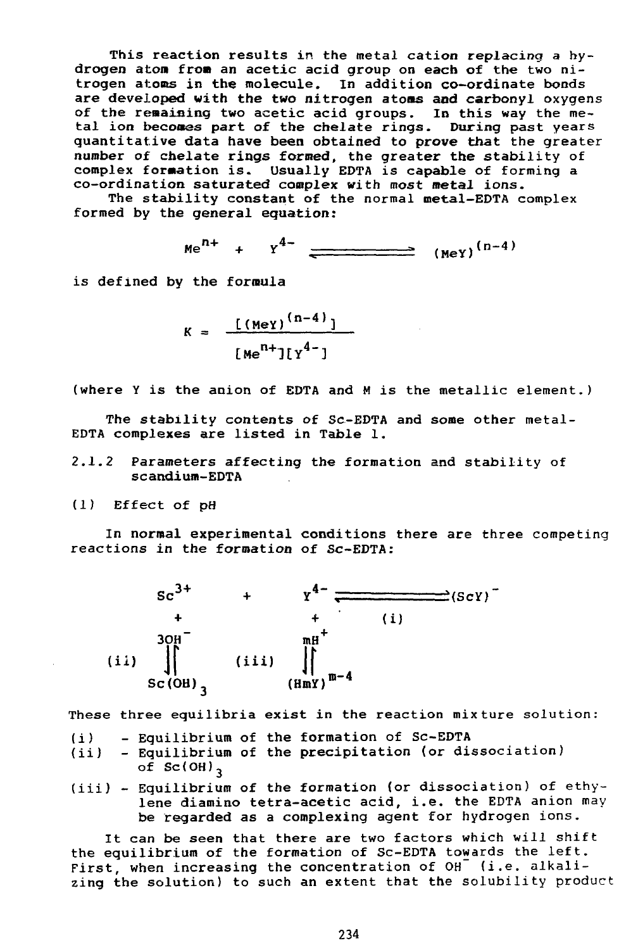This reaction results in the metal cation replacing a hydrogen atom from an acetic acid group on each of the two nitrogen atoms in the molecule. In addition co-ordinate bonds are developed with the two nitrogen atoms and carbonyl oxygens of the remaining two acetic acid groups. In this way the metal ion becomes part of the chelate rings. During past years quantitative data have been obtained to prove that the greater number of chelate rings formed, the greater the stability of complex formation is. Usually EDTA is capable of forming a co-ordination saturated complex with most metal ions.

The stability constant of the normal metal-EDTA complex formed by the general equation:

$$
Me^{n+} + Y^{4-}
$$
  $(MeY)^{(n-4)}$ 

is defined by the formula

$$
k = \frac{[(Mey)^{(n-4)}]}{[Me^{n+1}][y^{4-1}]}
$$

(where Y is the anion of EDTA and M is the metallic element.)

The stability contents of Sc-EDTA and some other metal-EDTA complexes are listed in Table 1.

- 2.1.2 Parameters affecting the formation and stability of scandium-EDTA
- (1) Effect of pH

In normal experimental conditions there are three competing reactions in the formation of Sc-EDTA:



These three equilibria exist in the reaction mixture solution:

- (i) Equilibrium of the formation of Sc-EDTA
- (ii) Equilibrium of the precipitation (or dissociation) of  $SC(OH)$ <sub>3</sub>
- (iii) Equilibrium of the formation (or dissociation) of ethylene diamino tetra-acetic acid, i.e. the EDTA anion may be regarded as a complexing agent for hydrogen ions.

It can be seen that there are two factors which will shift the equilibrium of the formation of Sc-EDTA towards the left. First, when increasing the concentration of OH (i.e. alkalizing the solution) to such an extent that the solubility product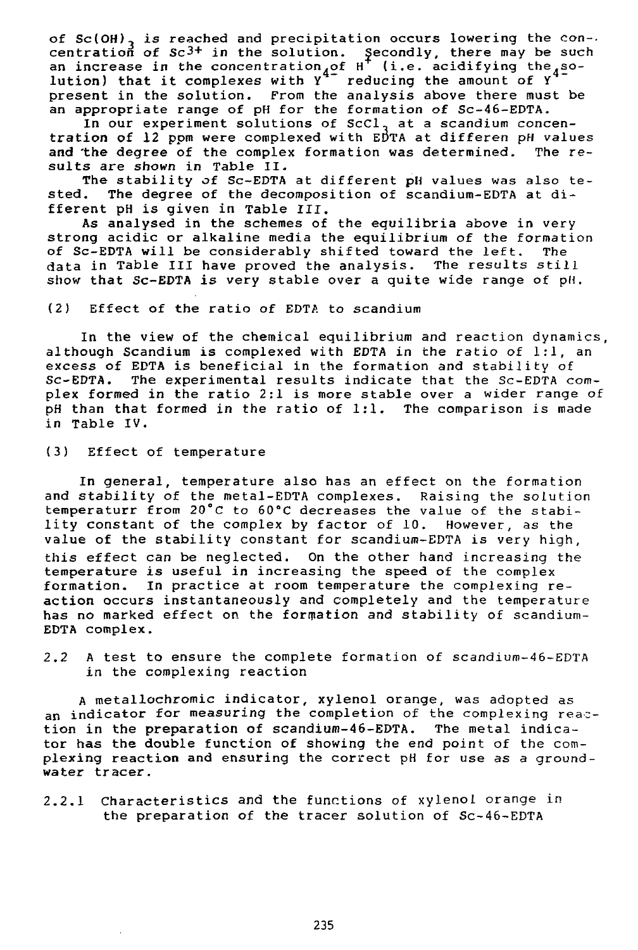of Sc(OH)<sub>3</sub> is reached and precipitation occurs lowering the con-. centration of Sc $^{3+}$  in the solution. Secondly, there may be such an increase in the concentration,of H  $\,$  (i.e. acidifying the,so– lution) that it complexes with  $Y^+$  reducing the amount of Y present in the solution. From the analysis above there must be an appropriate range of pH for the formation of Sc-46-EDTA.

In our experiment solutions of ScCl, at a scandium concentration of 12 ppm were complexed with EDTA at differen pH values<br>and the degree of the complex formation was determined. The reand the degree of the complex formation was determined. sults are shown in Table II.

The stability of Sc-EDTA at different pH values was also te-<br>sted. The degree of the decomposition of scandium-EDTA at di-The degree of the decomposition of scandium-EDTA at different pH is given in Table III.

As analysed in the schemes of the equilibria above in very strong acidic or alkaline media the equilibrium of the formation of Sc-EDTA will be considerably shifted toward the left. The data in Table III have proved the analysis. The results still show that Sc-EDTA is very stable over a quite wide range of pH.

(2) Effect of the ratio of EDTA to scandium

In the view of the chemical equilibrium and reaction dynamics, although Scandium is complexed with EDTA in the ratio of 1:1, an excess of EDTA is beneficial in the formation and stability of Sc-EDTA. The experimental results indicate that the Sc-EDTA complex formed in the ratio 2:1 is more stable over a wider range of pH than that formed in the ratio of 1:1. The comparison is made in Table IV.

(3) Effect of temperature

In general, temperature also has an effect on the formation and stability of the metal-EDTA complexes. Raising the solution temperaturr from 20°C to 60°C decreases the value of the stability constant of the complex by factor of 10. However, as the value of the stability constant for scandium-EDTA is very high, this effect can be neglected. On the other hand increasing the temperature is useful in increasing the speed of the complex formation. In practice at room temperature the complexing reaction occurs instantaneously and completely and the temperature has no marked effect on the formation and stability of scandium-EDTA complex.

2.2 A test to ensure the complete formation of scandium-46-EDTA in the complexing reaction

A metallochromic indicator, xylenol orange, was adopted as an indicator for measuring the completion of the complexing reaction in the preparation of scandium-46-EDTA. The metal indicator has the double function of showing the end point of the complexing reaction and ensuring the correct pH for use as a ground water tracer.

2.2.1 Characteristics and the functions of xylenol orange in the preparation of the tracer solution of Sc-46-EDTA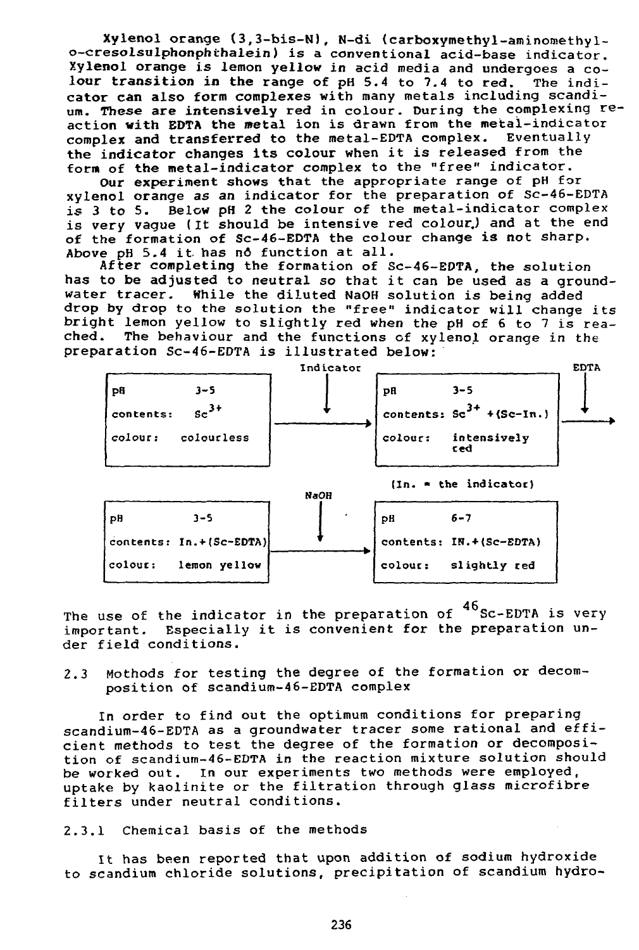Xylenol orange (3,3-bis-N), N-di {carboxymethyl-aminomethylo-cresolsulphonphthalein) is a conventional acid-base indicator. Xylenol orange is lemon yellow in acid media and undergoes a colour transition in the range of pH 5.4 to 7.4 to red. The indicator can also form complexes with many metals including scandium. These are intensively red in colour. During the complexing reaction with EDTA the metal ion is drawn from the metal-indicator complex and transferred to the metal-EDTA complex. Eventually the indicator changes its colour when it is released from the form of the metal-indicator complex to the "free" indicator.

Our experiment shows that the appropriate range of pH for xylenol orange as an indicator for the preparation of Sc-46-EDTA is 3 to 5. Below pH 2 the colour of the metal-indicator complex is very vague (It should be intensive red colour.) and at the end of the formation of Sc-46-EDTA the colour change is not sharp. Above pH 5.4 it. has nd function at all.

After completing the formation of Sc-46-EDTA, the solution has to be adjusted to neutral so that it can be used as a groundwater tracer. While the diluted NaOH solution is being added drop by drop to the solution the "free" indicator will change its bright lemon yellow to slightly red when the pH of 6 to 7 is reached. The behaviour and the functions of xylenol orange in the preparation Sc-46-EDTA is illustrated below:



The use of the indicator in the preparation of  $^{46}$ Sc-EDTA is very important. Especially it is convenient for the preparation under field conditions.

## 2.3 Mothods for testing the degree of the formation or decomposition of scandium-46-EDTA complex

In order to find out the optimum conditions for preparing scandium-46-EDTA as a groundwater tracer some rational and efficient methods to test the degree of the formation or decomposition of scandium-46-EDTA in the reaction mixture solution should be worked out. In our experiments two methods were employed, uptake by kaolinite or the filtration through glass microfibre filters under neutral conditions.

## 2.3.1 Chemical basis of the methods

It has been reported that upon addition of sodium hydroxide to scandium chloride solutions, precipitation of scandium hydro-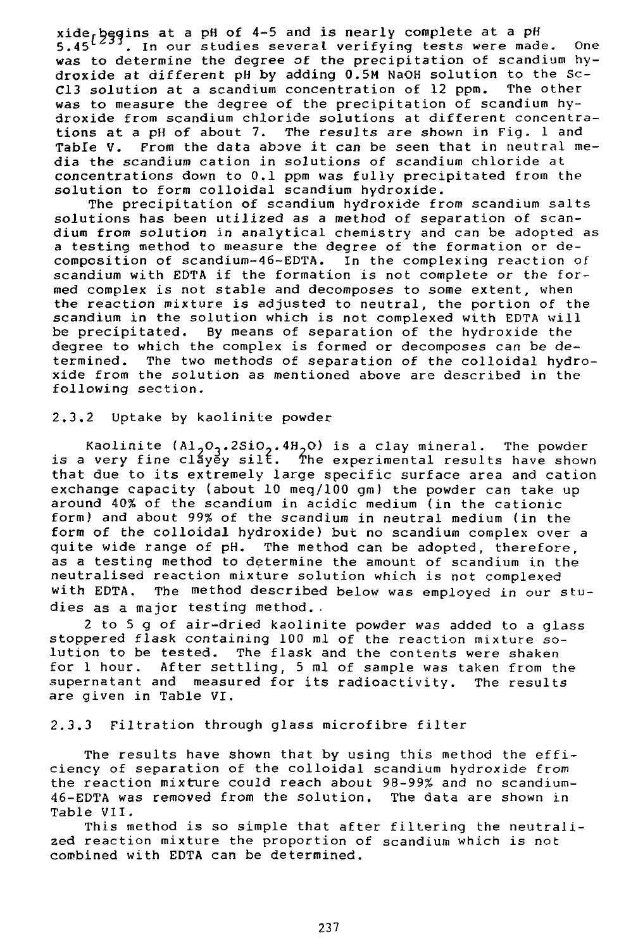q at a pH of 4-5 and is nearly complete at a pH 5.45<sup>t23)</sup>. In our studies several verifying tests were made. One was to determine the degree of the precipitation of scandium hydroxide at different pH by adding 0.5M NaOH solution to the Sc-C13 solution at a scandium concentration of 12 ppm. The other was to measure the degree of the precipitation of scandium hydroxide from scandium chloride solutions at different concentrations at a pH of about 7. The results are shown in Fig. 1 and Table V. From the data above it can be seen that in neutral media the scandium cation in solutions of scandium chloride at concentrations down to 0.1 ppm was fully precipitated from the solution to form colloidal scandium hydroxide.

The precipitation of scandium hydroxide from scandium salts solutions has been utilized as a method of separation of scandium from solution in analytical chemistry and can be adopted as a testing method to measure the degree of the formation or decomposition of scandium-46-EDTA. In the complexing reaction of scandium with EDTA if the formation is not complete or the formed complex is not stable and decomposes to some extent, when the reaction mixture is adjusted to neutral, the portion of the scandium in the solution which is not complexed with EDTA will be precipitated. By means of separation of the hydroxide the degree to which the complex is formed or decomposes can be determined. The two methods of separation of the colloidal hydroxide from the solution as mentioned above are described in the following section.

## 2.3.2 Uptake by kaolinite powder

Kaolinite  $(A1_2O_2.2SiO_2.4H_2O)$  is a clay mineral. The powder is a very fine clayey silt. The experimental results have shown that due to its extremely large specific surface area and cation exchange capacity (about 10 meq/100 gm) the powder can take up around 40% of the scandium in acidic medium (in the cationic form) and about 99% of the scandium in neutral medium (in the form of the colloidal hydroxide) but no scandium complex over a quite wide range of pH. The method can be adopted, therefore, as a testing method to determine the amount of scandium in the neutralised reaction mixture solution which is not complexed with EDTA. The method described below was employed in our studies as a major testing method. .

2 to 5 g of air-dried kaolinite powder was added to a glass stoppered flask containing 100 ml of the reaction mixture solution to be tested. The flask and the contents were shaken<br>for 1 hour. After settling, 5 ml of sample was taken from th After settling, 5 ml of sample was taken from the supernatant and measured for its radioactivity. The results are given in Table VI.

## 2.3.3 Filtration through glass microfibre filter

The results have shown that by using this method the efficiency of separation of the colloidal scandium hydroxide from the reaction mixture could reach about 98–99% and no scandium-<br>46–EDTA was removed from the solution. The data are shown in 46-EDTA was removed from the solution. Table VII.

This method is so simple that after filtering the neutralized reaction mixture the proportion of scandium which is not combined with EDTA can be determined.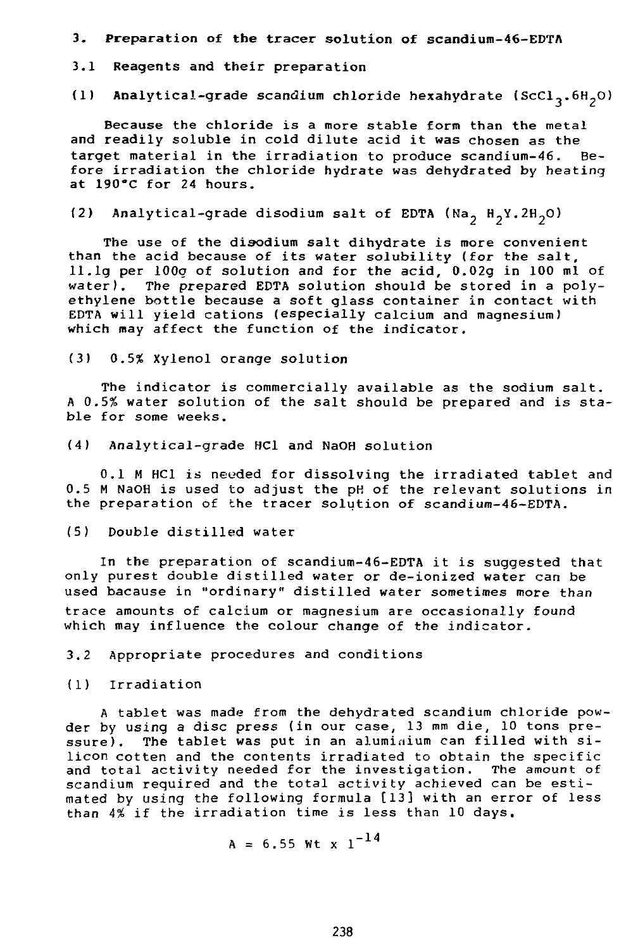- 3- Preparation of **the** tracer solution of scandium-46-EDTA
- 3.1 Reagents and their preparation
- (1) Analytical-grade scandium chloride hexahydrate (ScCl<sub>2</sub>.6H<sub>2</sub>O)

Because the chloride is a more stable form than the metal and readily soluble in cold dilute acid it was chosen as the target material in the irradiation to produce scandium-46. Before irradiation the chloride hydrate was dehydrated by heating at 190°C for 24 hours.

(2) Analytical-grade disodium salt of EDTA (Na<sub>2</sub> H<sub>2</sub>Y.2H<sub>2</sub>O)

The use of the disodium salt dihydrate is more convenient than the acid because of its water solubility (for the salt, 11.lg per 100g of solution and for the acid, 0.02g in 100 ml of water). The prepared EDTA solution should be stored in a poly-The prepared EDTA solution should be stored in a polyethylene bottle because a soft glass container in contact with EDTA will yield cations (especially calcium and magnesium) which may affect the function of the indicator.

(3) 0.5% Xylenol orange solution

The indicator is commercially available as the sodium salt. A 0.5% water solution of the salt should be prepared and is stable for some weeks.

(4) Analytical-grade HCl and NaOH solution

0.1 M HCl is needed for dissolving the irradiated tablet and 0.5 M NaOH is used to adjust the pH of the relevant solutions in the preparation of the tracer solution of scandium-46-EDTA.

(5) Double distilled water

In the preparation of scandium-46-EDTA it is suggested that only purest double distilled water or de-ionized water can be used bacause in "ordinary" distilled water sometimes more than trace amounts of calcium or magnesium are occasionally found which may influence the colour change of the indicator.

3.2 Appropriate procedures and conditions

(1) Irradiation

A tablet was made from the dehydrated scandium chloride powder by using a disc press (in our case, 13 mm die, 10 tons pressure). The tablet was put in an aluminium can filled with silicon cotten and the contents irradiated to obtain the specific and total activity needed for the investigation. The amount of scandium required and the total activity achieved can be estimated by using the following formula [13] with an error of less than 4% if the irradiation time is less than 10 days.

 $\ddot{\phantom{1}}$ 

$$
A = 6.55 \text{ Wt x } 1^{-14}
$$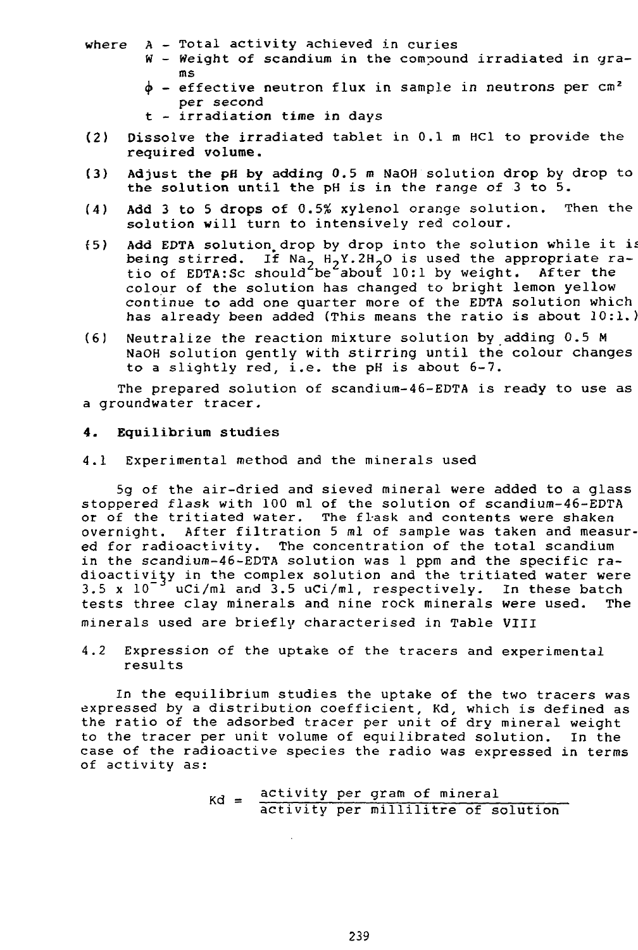- where  $A Total$  activity achieved in curies
	- W Weight of scandium in the compound irradiated in grams
	- $\phi$  effective neutron flux in sample in neutrons per cm<sup>2</sup> per second
	- t irradiation time in days
- (2) Dissolve the irradiated tablet in 0.1 m HC1 to provide the **required volume.**
- (3) **Adjust the pH by adding** 0.5 m NaOH solution drop by drop to the **solution** until the pH is in the range of 3 **to** 5.
- **(4) Add** 3 **to 5 drops of** 0.556 xylenol orange solution. Then the solution will turn to intensively red colour.
- {5) **Add** EDTA solution, drop by drop into the solution while it is being stirred. If Na<sub>2</sub> H<sub>2</sub>Y.2H<sub>2</sub>O is used the appropriate ratio of EDTA:Sc should be about 10:1 by weight. After the colour of the solution has changed to bright lemon yellow continue to add one quarter more of the EDTA solution which has already been added (This means the ratio is about 10:1.)
- (6) Neutralize the reaction mixture solution by adding 0.5 M NaOH solution gently with stirring until the colour changes to a slightly red, i.e. the pH is about 6-7.

The prepared solution of scandium-46-EDTA is ready to use as a groundwater tracer.

## **4. Equilibrium studies**

4.1 Experimental method and the minerals used

5g of the air-dried and sieved mineral were added to a glass stoppered flask with 100 ml of the solution of scandium-46-EDTA or of the tritiated water. The flask and contents were shaken overnight. After filtration 5 ml of sample was taken and measured for radioactivity. The concentration of the total scandium in the scandium-46-EDTA solution was 1 ppm and the specific radioactivity in the complex solution and the tritiated water were 3.5 x  $10^{-3}$  uCi/ml and 3.5 uCi/ml, respectively. In these batch tests three clay minerals and nine rock minerals were used. The minerals used are briefly characterised in Table VIII

4.2 Expression of the uptake of the tracers and experimental results

In the equilibrium studies the uptake of the two tracers was expressed by a distribution coefficient, Kd, which is defined as the ratio of the adsorbed tracer per unit of dry mineral weight to the tracer per unit volume of equilibrated solution. In the case of the radioactive species the radio was expressed in terms of activity as:

> , \_ activity per gram of mineral activity per millilitre of solution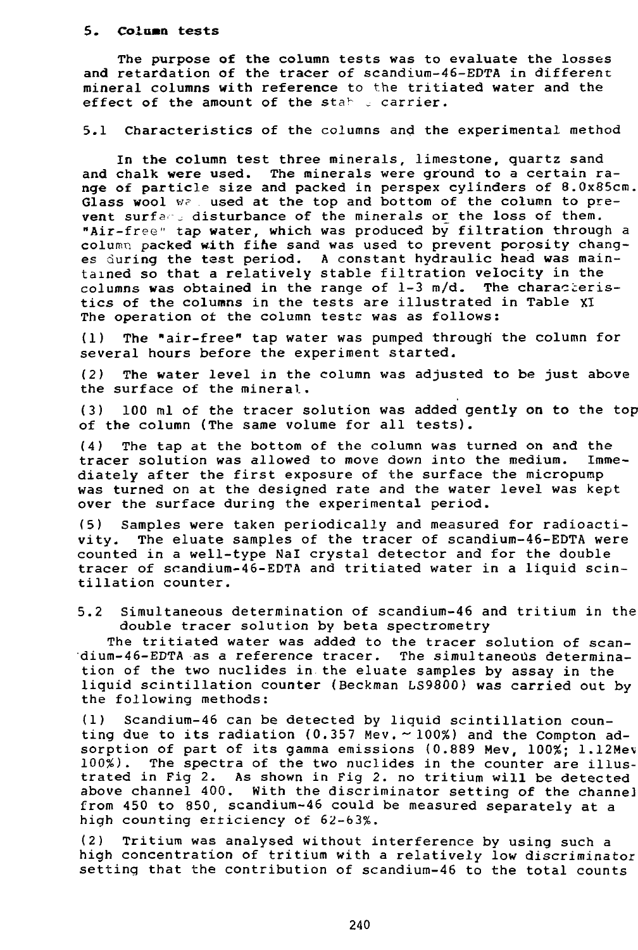#### **5. Column** tests

The purpose of the column tests was to evaluate the losses and retardation of the tracer of scandium-46-EDTA in different mineral columns with reference to the tritiated water and the effect of the amount of the stable carrier.

5.1 Characteristics of the columns and the experimental method

In the column test three minerals, limestone, quartz sand and chalk were used. The minerals were ground to a certain range of particle size and packed in perspex cylinders of 8.0x85cm. Glass wool w? used at the top and bottom of the column to prevent surfant disturbance of the minerals or the loss of them. "Air-free" tap water, which was produced by filtration through a column packed with fifte sand was used to prevent porosity changes during the test period. A constant hydraulic head was maintained so that a relatively stable filtration velocity in the columns was obtained in the range of  $l-3$  m/d. The characteristics of the columns in the tests are illustrated in Table XI The operation of the column tests was as follows:

(1) The "air-free" tap water was pumped through' the column for several hours before the experiment started.

(2) The water level in the column was adjusted to be just above the surface of the mineral.

(3) 100 ml of the tracer solution was added gently on to the top of the column (The same volume for all tests).

(4) The tap at the bottom of the column was turned on and the tracer solution was allowed to move down into the medium. Immediately after the first exposure of the surface the micropump was turned on at the designed rate and the water level was kept over the surface during the experimental period.

(5) Samples were taken periodically and measured for radioactivity. The eluate samples of the tracer of scandium-46-EDTA were counted in a well-type Nal crystal detector and for the double tracer of scandium-46-EDTA and tritiated water in a liquid scintillation counter.

5.2 Simultaneous determination of scandium-46 and tritium in the double tracer solution by beta spectrometry

The tritiated water was added to the tracer solution of scandium-46-EDTA as a reference tracer. The simultaneous determination of the two nuclides in the eluate samples by assay in the liquid scintillation counter (Beckman LS9800) was carried out by the following methods:

(1) Scandium-46 can be detected by liquid scintillation counting due to its radiation (0.357 Mev.  $\sim$  100%) and the Compton adsorption of part of its gamma emissions  $(0.889$  Mev,  $100\%; 1.12$ Mev 100%). The spectra of the two nuclides in the counter are illustrated in Fig 2. As shown in Fig 2. no tritium will be detected above channel 400. With the discriminator setting of the channeJ from 450 to 850, scandium-46 could be measured separately at a high counting erticiency of 62-63%.

(2) Tritium was analysed without interference by using such a high concentration of tritium with a relatively low discriminator setting that the contribution of scandium-46 to the total counts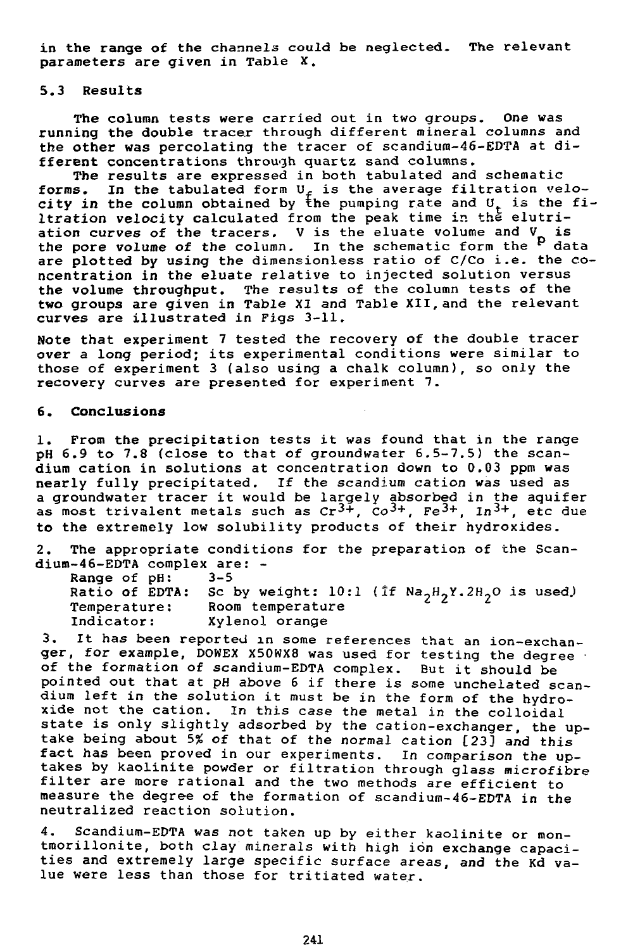in the range of the channels could be neglected. The relevant parameters are given in Table X.

#### 5.3 Results

The column tests were carried out in two groups. One was running the double tracer through different mineral columns and the other was percolating the tracer of scandium-46-EDTA at different concentrations through quartz sand columns.

The results are expressed in both tabulated and schematic forms. In the tabulated form  $U_f$  is the average filtration velocity in the column obtained by the pumping rate and  $0^{+}_{+}$  is the filtration velocity calculated from the peak time in the elutriation curves of the tracers. V is the eluate volume and  $V_a$  is the pore volume of the column. In the schematic form the <sup>p</sup> data are plotted by using the dimensionless ratio of C/Co i.e. the concentration in the eluate relative to injected solution versus the volume throughput. The results of the column tests of the two groups are given in Table XI and Table XII, and the relevant curves are illustrated in Figs 3-11.

Note that experiment 7 tested the recovery of the double tracer over a long period; its experimental conditions were similar to those of experiment 3 (also using a chalk column), so only the recovery curves are presented for experiment 7.

## **6**. **Conclusions**

1. From the precipitation tests it was found that in the range pH 6.9 to 7.8 (close to that of groundwater 6.5-7.5) the scandium cation in solutions at concentration down to 0.03 ppm was nearly fully precipitated. If the scandium cation was used as a groundwater tracer it would be largely absorbed in the aquifer as most trivalent metals such as  $cr^{3+}$ ,  $\tilde{c}$ o<sup>3+</sup>, Fe<sup>3+</sup>, In<sup>3+</sup>, etc due to the extremely low solubility products of their hydroxides.

2. The appropriate conditions for the preparation of the Scandium-46-EDTA complex are: -

| Range of pH:        | $3 - 5$                                                                                           |
|---------------------|---------------------------------------------------------------------------------------------------|
|                     | Ratio of EDTA: Sc by weight: 10:1 (If Na <sub>2</sub> H <sub>2</sub> Y.2H <sub>2</sub> O is used) |
| <b>Temperature:</b> | Room temperature                                                                                  |
| Indicator:          | Xylenol orange                                                                                    |

3. It has been reported in some references that an ion-exchanger, for example, DOWEX X50WX8 was used for testing the degree of the formation of scandium-EDTA complex. But it should be pointed out that at pH above 6 if there is some unchelated scandium left in the solution it must be in the form of the hydroxide not the cation. In this case the metal in the colloidal state is only slightly adsorbed by the cation-exchanger, the uptake being about 5% of that of the normal cation [23] and this fact has been proved in our experiments. In comparison the uptakes by kaolinite powder or filtration through glass microfibre filter are more rational and the two methods are efficient to measure the degree of the formation of scandium-46-EDTA in the neutralized reaction solution.

4. Scandium-EDTA was not taken up by either kaolinite or montmorillonite, both clay minerals with high ion exchange capacities and extremely large specific surface areas, and the Kd value were less than those for tritiated water.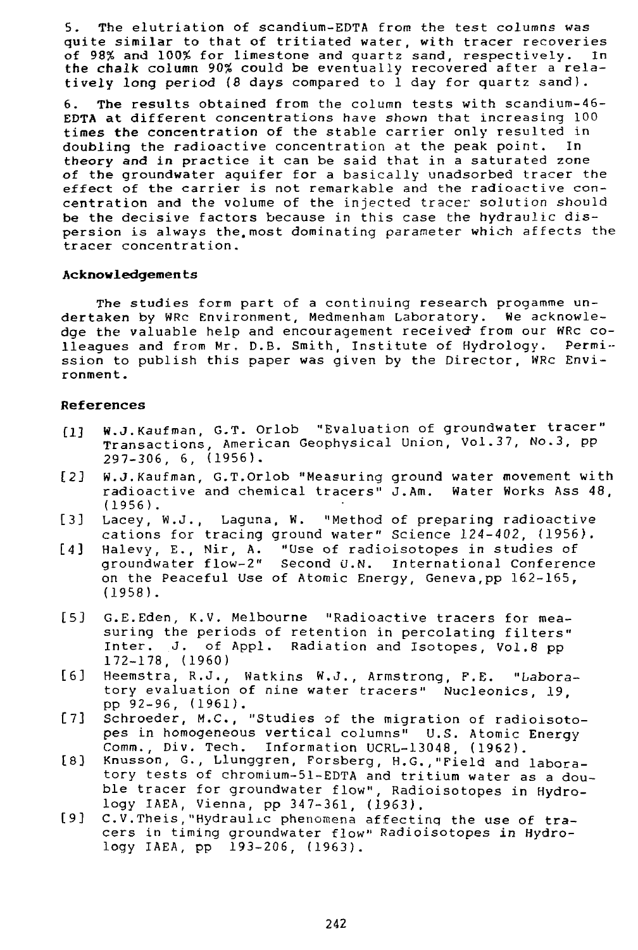5. The elutriation of scandium-EDTA from the test columns was quite similar to that of tritiated water, with tracer recoveries of 98% and 100% for limestone and quartz sand, respectively. In the chalk column 90% could be eventually recovered after a relatively long period {8 days compared to 1 day for quartz sand).

6. The results obtained from the column tests with scandium-46- EDTA at different concentrations have shown that increasing 100 times **the** concentration of the stable carrier only resulted in doubling the radioactive concentration at the peak point. In theory and in practice it can be said that in a saturated zone of the groundwater aquifer for a basically unadsorbed tracer the effect of the carrier is not remarkable and the radioactive concentration and the volume of the injected tracer solution should be the decisive factors because in this case the hydraulic dispersion is always the.most dominating parameter which affects the tracer concentration.

## **Acknowledgenten** ts

The studies form part of a continuing research progamme undertaken by WRc Environment, Medmenham Laboratory. We acknowledge the valuable help and encouragement received- from our WRc colleagues and from Mr, D.B. Smith, Institute of Hydrology. Permission to publish this paper was given by the Director, WRc Environment .

## **References**

- [1] W.J.Kaufman, G.T. Orlob "Evaluation of groundwater tracer" Transactions, American Geophysical Union, Vol.37, No.3, pp 297-306, 6, (1956).
- [2J W.J.Kaufman, G.T.Orlob "Measuring ground water movement with radioactive and chemical tracers" J.Am. Water Works Ass 48, (1956).
- [3] Lacey, W.J., Laguna, W. "Method of preparing radioactive cations for tracing ground water" Science 124-402, (1956).<br>Halevy, E., Nir, A. "Use of radioisotopes in studies of
- [4] Halevy, E., Nir, A. "Use of radioisotopes in studies of<br>qroundwater flow-2" Second U.N. International Conference Second U.N. International Conference on the Peaceful Use of Atomic Energy, Geneva,pp 162-165, (1958).
- [5] G.E.Eden, K.V. Melbourne "Radioactive tracers for measuring the periods of retention in percolating filters" Inter. J. of Appl. Radiation and Isotopes, Vol.8 pp 172-178, (1960)
- [6] Heemstra, R.J., Watkins W.J., Armstrong, F.E. "Laboratory evaluation of nine water tracers" Nucleonics, 19 pp 92-96, (1961) .
- [7] Schroeder, M.C., "Studies of the migration of radioisotopes in homogeneous vertical columns" U.S. Atomic Energy Comm., Div. Tech. Information UCRL-13048, (1962).
- [8] Knusson, G., Llunggren, Forsberg, H.G.,"Field and laboratory tests of chromium-51-EDTA and tritium water as a double tracer for groundwater flow", Radioisotopes in Hydrology IAEA, Vienna, pp 347-361, (1963).
- [9] C.V.Theis, "Hydraulic phenomena affecting the use of tracers in timing groundwater flow" Radioisotopes in Hydrology IAEA, pp 193-206, (1963).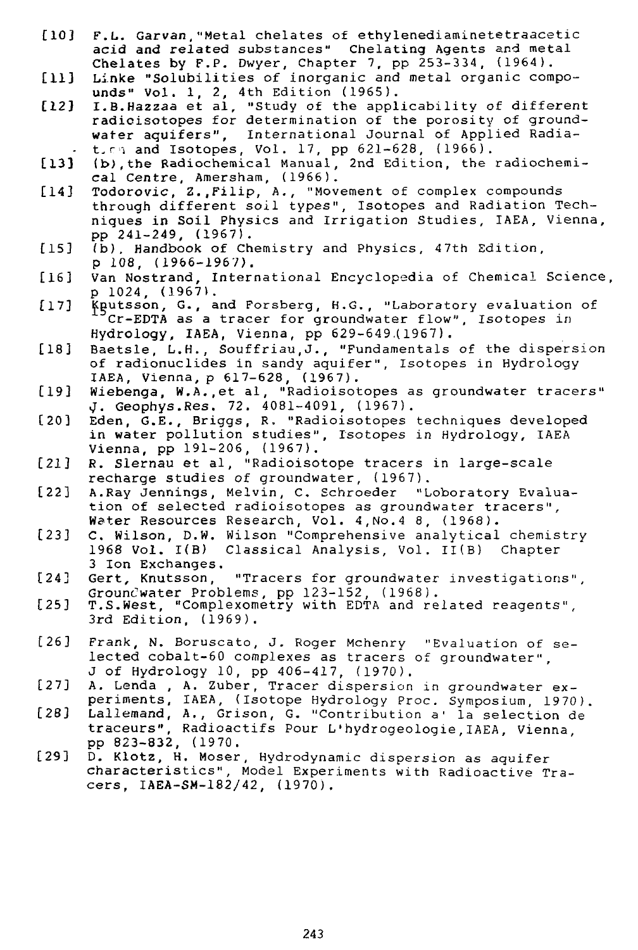- [10] F.L. Garvan,"Metal chelates of ethylenediaminetetraacetic acid and related substances" Chelating Agents and metal Chelates by F.P. Dwyer, Chapter 7, pp 253-334, (1964).
- [11] Linke "Solubilities of inorganic and metal organic compounds" Vol. 1, 2, 4th Edition (1965).
- [12] I.B.Hazzaa et al, "Study of the applicability of different radicisotopes for determination of the porosity of groundwater aquifers", International Journal of Applied Radia-
- t. ri and Isotopes, Vol. 17, pp 621-628, (1966).<br>[13] (b) the Radiochemical Manual, 2nd Edition, the (b), the Radiochemical Manual, 2nd Edition, the radiochemical Centre, Amersham, (1966).
- [14] Todorovic, Z.,Filip, A., "Movement of complex compounds through different soil types". Isotopes and Radiation Techniques in Soil Physics and Irrigation Studies, IAEA, Vienna, pp 241-249, (1967).
- [15] (b). Handbook of Chemistry and Physics, 47th Edition, p 108, (1966-1967).
- [16] Van Nostrand, International Encyclopedia of Chemical Science, p 1024, (1967).
- [17] Knutsson, G., and Forsberg, H.G., "Laboratory evaluation of Cr-BDTA as a tracer for groundwater flow". Isotopes in Hydrology, IAEA, Vienna, pp 629-649.(1967).
- [18] Baetsle, L.H., Souffriau,J., "Fundamentals of the dispersion of radionuclides in sandy aquifer", Isotopes in Hydrology IAEA, Vienna, p 617-628, (1967).
- [19] Wiebenga, W.A.,et al, "Radioisotopes as groundwater tracers" J. Geophys.Res. 72. 4081-4091, (1967).
- [20] Eden, G.E., Briggs, R, "Radioisotopes techniques developed in water pollution studies", Isotopes in Hydrology, IAEA Vienna, pp 191-206, (1967).
- [21] R. Slernau et al, "Radioisotope tracers in large-scale recharge studies of groundwater, (1967).
- [22] A.Ray Jennings, Melvin, C. Schroeder "Loboratory Evaluation of selected radioisotopes as groundwater tracers", Water Resources Research, Vol. 4,No.4 8, (1968).
- [23] C. Wilson, D.W. Wilson "Comprehensive analytical chemistry 1968 Vol. I(B) Classical Analysis, Vol. II(B) Chapter 3 Ion Exchanges.
- [24] Gert, Knutsson, "Tracers for groundwater investigations", Grouncwater Problems, pp 123-152, (1968).
- [25] T.S.West, "Complexometry with EDTA and related reagents", 3rd Edition, (1969) .
- [26] Frank, N. Boruscato, J. Roger Mchenry "Evaluation of selected cobalt-60 complexes as tracers of groundwater", J of Hydrology 10, pp 406-417, (1970).
- [27] A. Lenda , A. Zuber, Tracer dispersion in groundwater experiments, IAEA, (Isotope Hydrology Proc. Symposium, 1970).
- [28] Lallemand, A., Grison, G. "Contribution a' la selection de traceurs", Radioactifs Pour L'hydrogeologie,IAEA, Vienna pp 823-832, (1970.
- [29] D. Klotz, H. Moser, Hydrodynamic dispersion as aquifer characteristics", Model Experiments with Radioactive Tracers, IAEA-SM-182/42, (1970).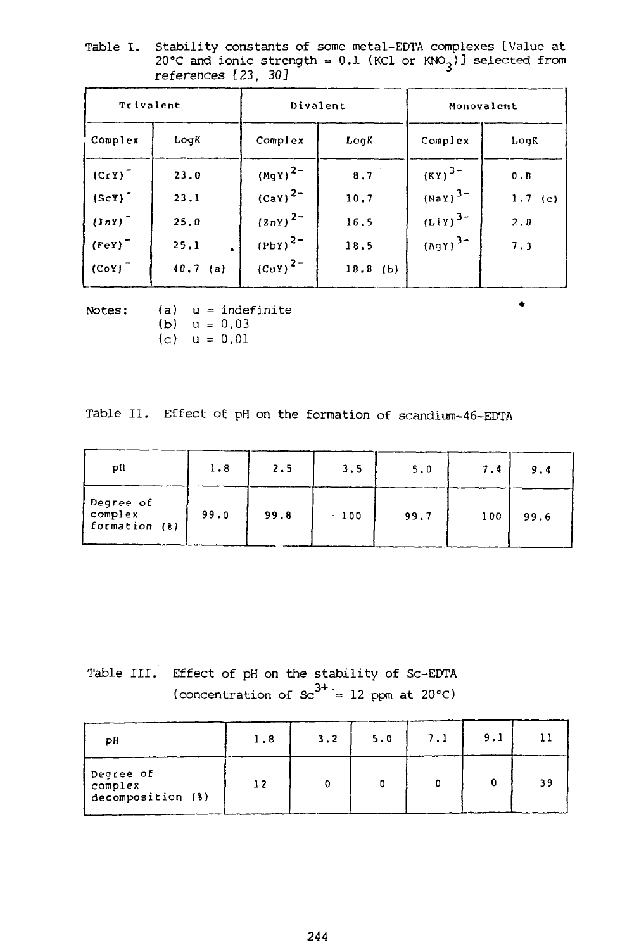Table I. Stability constants of some metal-EDTA complexes [Value at 20°C and ionic strength = 0.1 (KCl or KNO $_{\text{2}}$ )] selected from references [23, 30]

| Trivalent   |         |                              | Divalent   | Monovalent                |           |  |
|-------------|---------|------------------------------|------------|---------------------------|-----------|--|
| Complex     | LogK    | Complex                      | LogK       | Complex                   | LogK      |  |
| $(CrY)^{-}$ | 23.0    | $(Mgy)^{2-}$                 | 8.7        | $(KY)^{3-}$               | 0.8       |  |
| $(ScY)^T$   | 23.1    | $(cay)^{2-}$                 | 10.7       | $(May)^3$ -               | $1.7$ (c) |  |
| $(lnY)^T$   | 25.0    | $(2nY)^{2-}$                 | 16.5       | $(Liy)^{3-}$              | 2.8       |  |
| $(FeY)^T$   | 25.1    | $(PbY)^{2-}$                 | 18.5       | $($ AgY $)$ <sup>3-</sup> | 7.3       |  |
| $(CoY)^T$   | 40.7(a) | $\langle$ CuY) <sup>2-</sup> | $18.8$ (b) |                           |           |  |

Notes:  $(a)$  u = indefinite (b)  $u = 0.03$ (c) u = 0.01

Table II. Effect of pH on the formation of scandium-46-EDTA

| pil                                   | 1.8  | 2.5  | 3.5   | 5.0  | 7.4 | 9.4  |
|---------------------------------------|------|------|-------|------|-----|------|
| Degree of<br>complex<br>formation (%) | 99.0 | 99.8 | . 100 | 99.7 | 100 | 99.6 |

Table III. Effect of pH on the stability of Sc-EDTA (concentration of  $sc^{3+} = 12$  ppm at 20°C)

| рH                                        | 1.8 | 3.2 | 5.0 | 7.1 | 9.1 |    |
|-------------------------------------------|-----|-----|-----|-----|-----|----|
| Degree of<br>complex<br>decomposition (%) |     |     |     |     |     | 39 |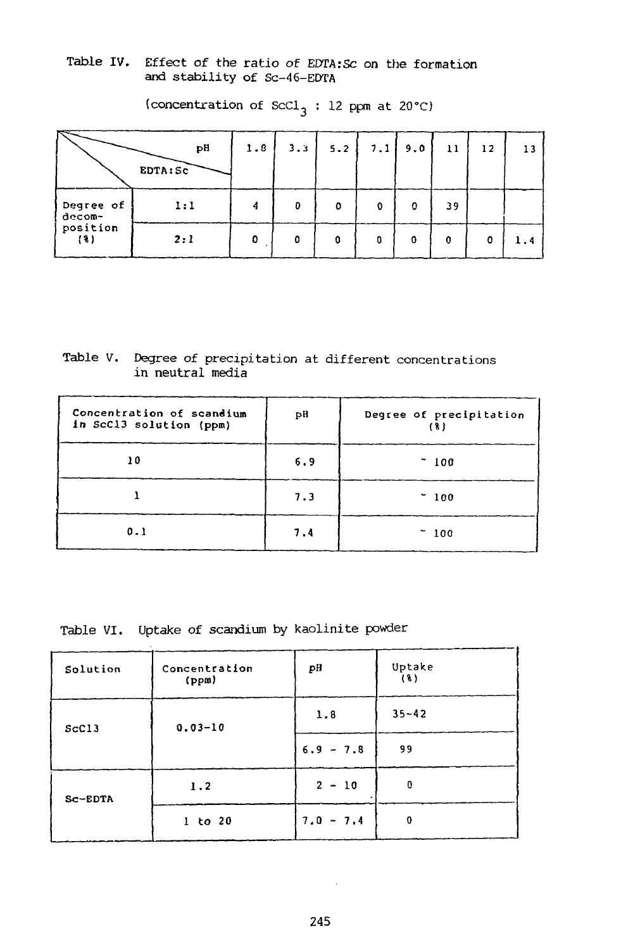Table IV. Effect of the ratio of EDTA:Sc on the formation and stability of Sc-46-EDTA

|                     | рH<br>EDTA: SC | 1.8 | 3.3 | 5.2 |   | $7.1$ 9.0 | 11 | 12 | 13  |
|---------------------|----------------|-----|-----|-----|---|-----------|----|----|-----|
| Degree of<br>decom- | 1:1            | 4   | Đ   | o   | 0 | O         | 39 |    |     |
| position<br>(3)     | 2:1            | o   | ٥   |     | o | o         | 0  | 0  | 1.4 |

(concentration of ScCl<sub>3</sub>: 12 ppm at 20°C)

Table V. Degree of precipitation at different concentrations in neutral media

| Concentration of scandium<br>in ScC13 solution (ppm) | рH  | Degree of precipitation<br>ſδ. |
|------------------------------------------------------|-----|--------------------------------|
| 10                                                   | 6.9 | - 100                          |
|                                                      | 7.3 | $-100$                         |
| 0.1                                                  | 7.4 | 100                            |

Table VI. Uptake of scandium by kaolinite powder

| Solution   | Concentration<br>(ppm) | pH                                                            | Uptake<br>$(\ell)$ |
|------------|------------------------|---------------------------------------------------------------|--------------------|
| $Sc$ $C13$ | $0.03 - 10$            | 1.8                                                           | $35 - 42$          |
|            |                        | 99<br>$6.9 - 7.8$<br>$2 - 10$<br>$\Omega$<br>$7.0 - 7.4$<br>0 |                    |
| Sc-EDTA    | 1.2                    |                                                               |                    |
|            | $1$ to $20$            |                                                               |                    |

 $\sim$   $\sim$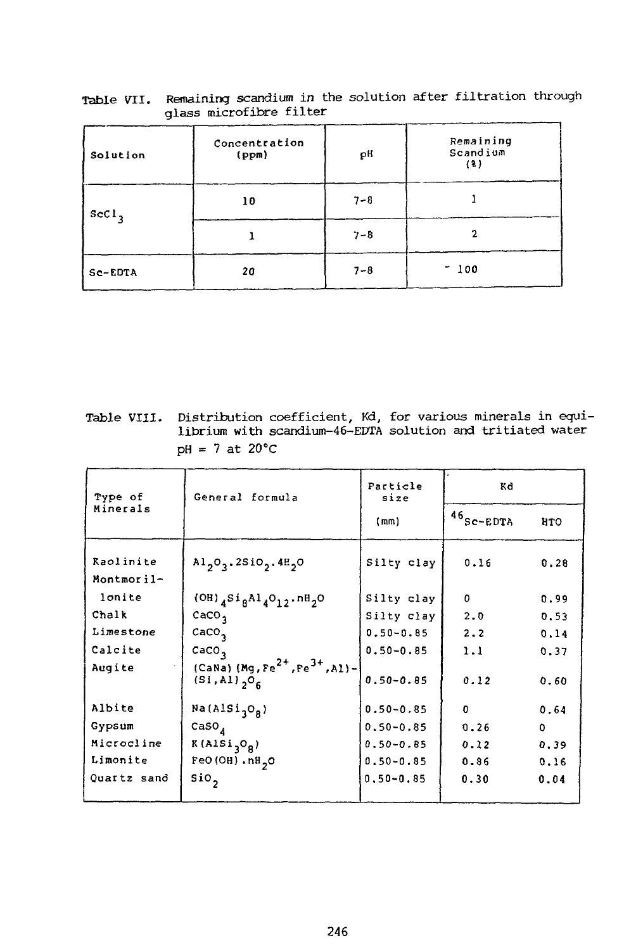| Solution | Concentration<br>(ppm) | ρH      | Remaining<br>Scandium<br>(3) |
|----------|------------------------|---------|------------------------------|
| $ScCl$ , | 10                     | $7 - 8$ |                              |
|          |                        | $7 - 8$ | 2                            |
| Sc-EDTA  | 20                     | $7 - 8$ | $-100$                       |

Table VII. Remaining scandium in the solution after filtration through glass microfibre filter

Table VIII. Distribution coefficient, Kd, for various minerals in equilibrium with scandium-46-EDTA solution and tritiated water  $pH = 7$  at 20 $^{\circ}C$ 

| Type of                 | General formula                                                                        | Particle<br>size | Kd                      |            |  |
|-------------------------|----------------------------------------------------------------------------------------|------------------|-------------------------|------------|--|
| Minerals                |                                                                                        | (mm)             | $46$ <sub>SC-EDTA</sub> | <b>HTO</b> |  |
| Raolinite<br>Montmoril- | $A1_{2}O_{3}$ . 2510 <sub>2</sub> . 48 <sub>2</sub> 0                                  | Silty clay       | 0.16                    | 0.28       |  |
| lonite                  | $(OH)$ <sub>4</sub> Si <sub>8</sub> Al <sub>4</sub> O <sub>12</sub> .nH <sub>2</sub> O | Silty clay       | 0                       | 0.99       |  |
| Chalk                   | CaCO <sub>3</sub>                                                                      | Silty clay       | 2.0                     | 0.53       |  |
| Limestone               | $c$ aCO <sub>3</sub>                                                                   | $0.50 - 0.85$    | 2.2                     | 0.14       |  |
| Calcite                 | CaCO <sub>3</sub>                                                                      | $0.50 - 0.85$    | 1.1                     | 0.37       |  |
| Augite                  | $(CaNa) (Mg, Fe2+, Fe3+, A1) -$<br>$(Si, A1)$ <sub>2</sub> $O6$                        | $0.50 - 0.85$    | 0.12                    | 0.60       |  |
| Albite                  | Na(AlSi <sub>1</sub> O <sub>R</sub> )                                                  | $0.50 - 0.85$    | 0                       | 0.64       |  |
| Gypsum                  | caso <sub>4</sub>                                                                      | $0.50 - 0.85$    | 0.26                    | 0          |  |
| Microcline              | $K(ALSi_{q}O_{R})$                                                                     | $0.50 - 0.85$    | 0.12                    | 0.39       |  |
| Limonite                | $FeO(OH) \cdot nH_2O$                                                                  | $0.50 - 0.85$    | 0.86                    | 0.16       |  |
| Quartz sand             | $\sin$                                                                                 | $0.50 - 0.85$    | 0.30                    | 0.04       |  |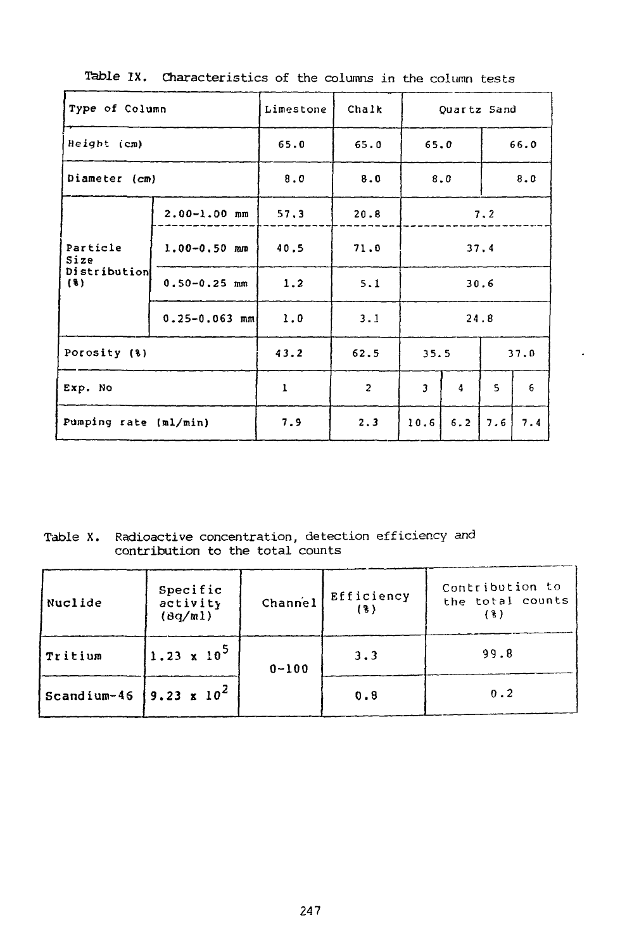| Type of Column        |                   | Limestone | Chalk          | Quartz Sand             |      |     |      |
|-----------------------|-------------------|-----------|----------------|-------------------------|------|-----|------|
| Height (cm)           |                   | 65.0      | 65.0           | 65.0                    |      |     | 66.0 |
| Diameter (cm)         |                   | 8.0       | 8.0            |                         | 8.0  |     | 8.0  |
| Particle<br>Size      | $2.00 - 1.00$ mm  | 57.3      | 20.8           |                         |      | 7.2 |      |
|                       | $1.00 - 0.50$ mm  | 40.5      | 71.0           |                         | 37.4 |     |      |
| Distribution<br>(3)   | $0.50 - 0.25$ mm  | 1.2       | 5.1            | 30.6                    |      |     |      |
|                       | $0.25 - 0.063$ mm | 1.0       | 3.1            |                         | 24.8 |     |      |
| Porosity (%)          |                   | 43.2      | 62.5           | 35.5                    |      |     | 37,0 |
| Exp. No               |                   | 1         | $\overline{c}$ | $\overline{\mathbf{3}}$ | 4    | 5   | 6    |
| Pumping rate (ml/min) |                   | 7.9       | 2.3            | 10.6                    | 6.2  | 7.6 | 7.4  |

**Table IX. Characteristics** of the columns **in** the column tests

Table X. Radioactive concentration, detection efficiency and contribution to the total counts

| Nuclide     | Specific<br>activity<br>$(\frac{Bq}{m}$ | Channel   | Efficiency<br>(%) | Contribution to<br>the total counts<br>18 |
|-------------|-----------------------------------------|-----------|-------------------|-------------------------------------------|
| Tritium     | $(1.23 \times 10^5)$                    | $0 - 100$ | 3.3               | 99.8                                      |
| Scandium-46 | $9.23 \times 10^{2}$                    |           | 0.8               | 0.2                                       |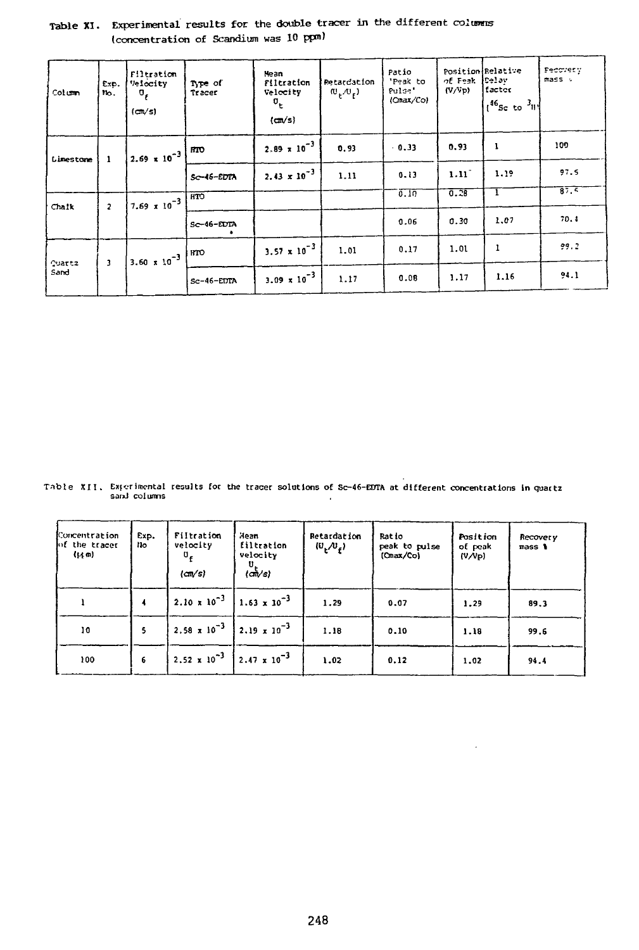| Column                | Exp.<br>۲ю.    | Filtration<br>Velocity<br>σ,<br>(m/s) | Type of<br>Tracer | Hean<br>Filtration<br>Velocity<br>$\mathbf{u}_{\mathbf{t}}$<br>(m/s) | Retardation<br>$(\mathbb{U}_{\mathcal{L}}, \mathbb{U}_{\mathcal{L}})$ | Patio<br>'Peak to<br>Pulse'<br>(Cmax/Co) | of Feak<br>(V/Vp) | Position Felative<br>Celav<br>factor<br>$1^{46}$ Sc to $3^{11}$ | Pecorety<br>mass . |
|-----------------------|----------------|---------------------------------------|-------------------|----------------------------------------------------------------------|-----------------------------------------------------------------------|------------------------------------------|-------------------|-----------------------------------------------------------------|--------------------|
| Limestone             | 1              | $\frac{1}{2.69}$ x 10 <sup>-3</sup>   | HTO               | $2.89 \times 10^{-3}$                                                | 0.93                                                                  | $-0.33$                                  | 0.93              | ı                                                               | 109                |
|                       |                |                                       | Sc-46-EDTA        | $2.43 \times 10^{-3}$                                                | 1.11                                                                  | 0.13                                     | 1.11              | 1.19                                                            | 97.5               |
| Chaik                 | $\overline{a}$ | $7.69 \times 10^{-3}$                 | HTO               |                                                                      |                                                                       | 0.10                                     | 0.28              |                                                                 | 87.5               |
|                       |                |                                       | Sc-46-EDTA        |                                                                      |                                                                       | 0.06                                     | 0.30              | 1.07                                                            | 70.4               |
|                       | 3              | $3.60 \times 10^{-3}$                 | юO                | $3.57 \times 10^{-3}$                                                | 1.01                                                                  | 0.17                                     | 1.01              | 1                                                               | 99.2               |
| <b>Quattz</b><br>Sand |                |                                       | Sc-46-EDTA        | $3.09 \times 10^{-3}$                                                | 1.17                                                                  | 0.08                                     | 1.17              | 1.16                                                            | 94.1               |

# Table XI. Experimental results for the double tracer in the different columns (concentration of Scandium was 10 ppm)

**Tnbte XII. Exferimental results for the tracer solutions of Sc-46-EDTA at different concentrations in guattz sanJ columns**

| Concentration<br>of the tracer<br>(1, m) | Exp.<br>Nо | Filtration<br>velocity<br>$\mathbf{u}_r$<br>(m/s) | Mean<br><b>filtration</b><br>velocity<br>υ<br>(ဏ√s) | Retardation<br>$(U, U_{\epsilon})$ | Ratio<br>peak to pulse<br>(Cmax/Co) | Position<br>of peak<br>(V/VP) | Recovery<br>mass 1 |
|------------------------------------------|------------|---------------------------------------------------|-----------------------------------------------------|------------------------------------|-------------------------------------|-------------------------------|--------------------|
|                                          |            |                                                   | $2.10 \times 10^{-3}$ 1.63 x 10 <sup>-3</sup>       | 1.29                               | 0.07                                | 1.29                          | 89.3               |
| 10                                       |            |                                                   | 2.58 x 10 <sup>-3</sup> 2.19 x 10 <sup>-3</sup>     | 1.18                               | 0.10                                | 1.18                          | 99.6               |
| 100                                      | 6          |                                                   | 2.52 x 10 <sup>-3</sup> 2.47 x 10 <sup>-3</sup>     | 1.02                               | 0.12                                | 1.02                          | 94.4               |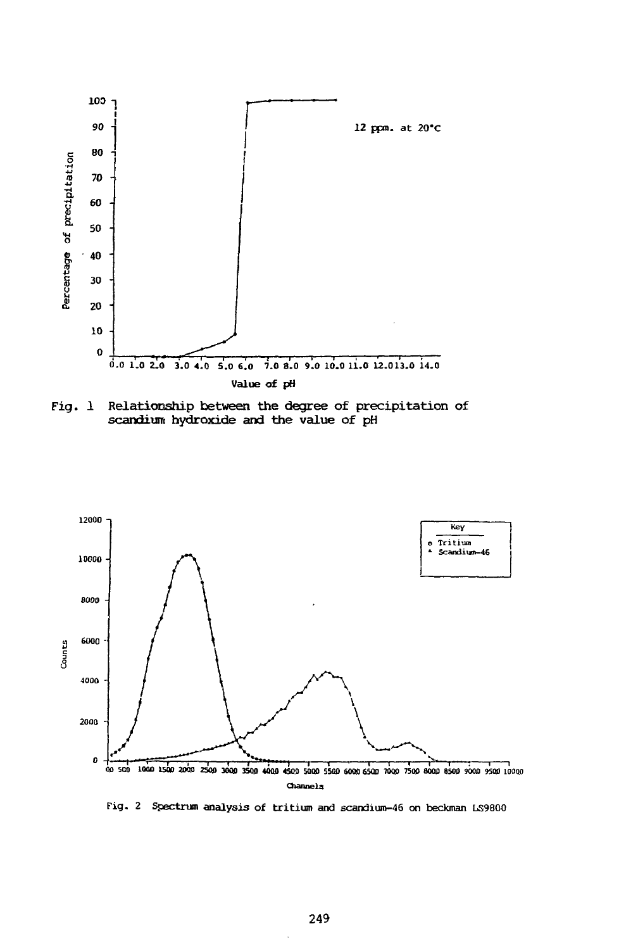

Relationship between the degree of precipitation of Fig.  $1$ scandium hydroxide and the value of pH



Fig. 2 Spectrum analysis of tritium and scandium-46 on beckman LS9800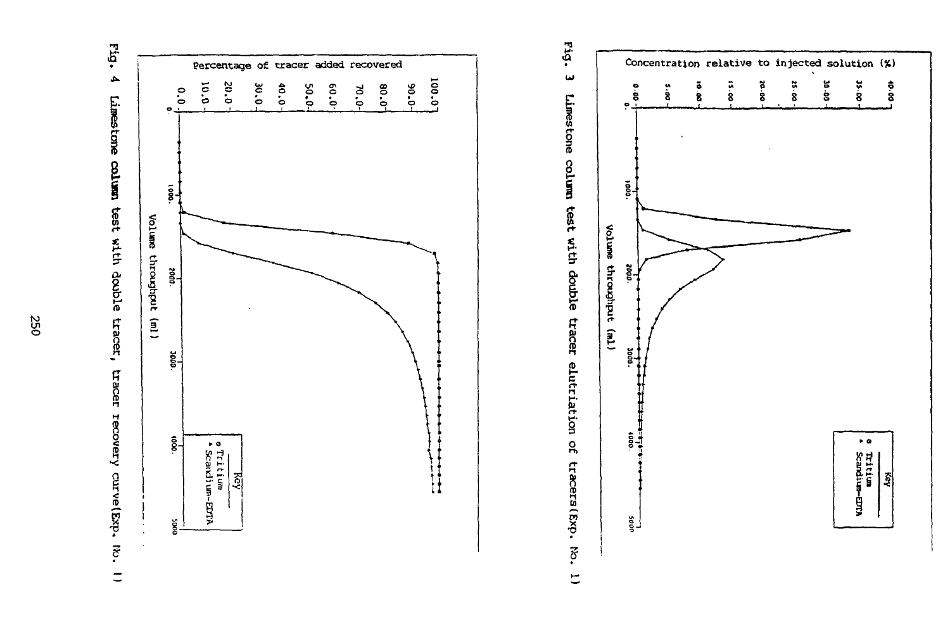Linestone column test with double tracer, tracer recovery curve (Exp.  $\vec{c}$  $\equiv$ 

 $E_{19}$ 

 $\blacktriangle$ 



Eig. س Limestone column test with double tracer elutriation of tracers (Exp.  $\vec{5}$  $\overline{\overline{a}}$ 

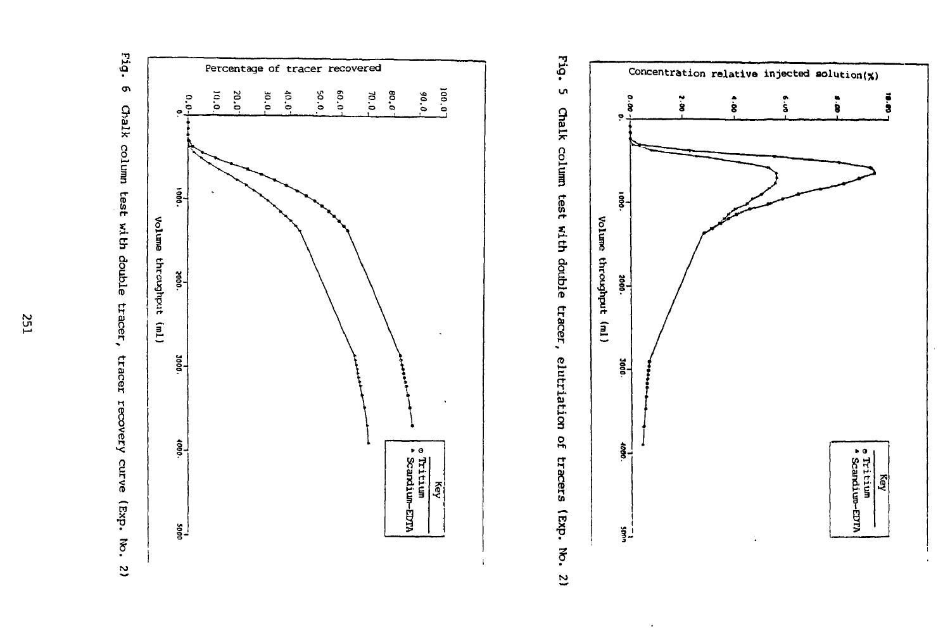



 $\epsilon$ 





**Z51**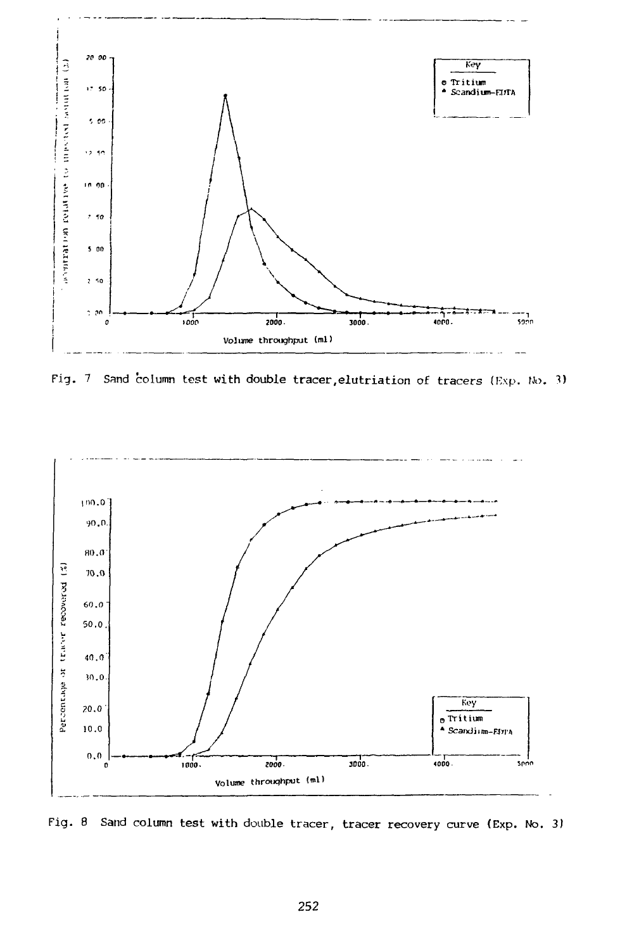

Fig. 7 Sand column test with double tracer, elutriation of tracers (Exp. No. 3)



Fig. 8 Sand column test with double tracer, tracer recovery curve (Exp. No. 3)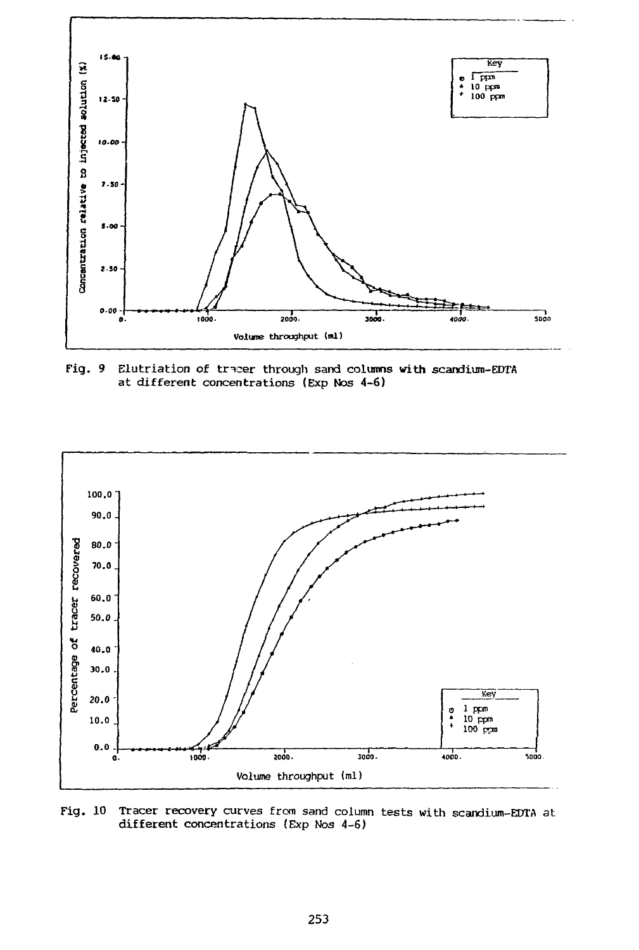

Fig. 9 Elutriation of tracer through sand columns **with** scandium-EDTA at different concentrations (Exp Nos 4-6)



Fig. 10 Tracer recovery curves from sand column tests with scandium-EDTA at different concentrations {Exp Nos 4-6)